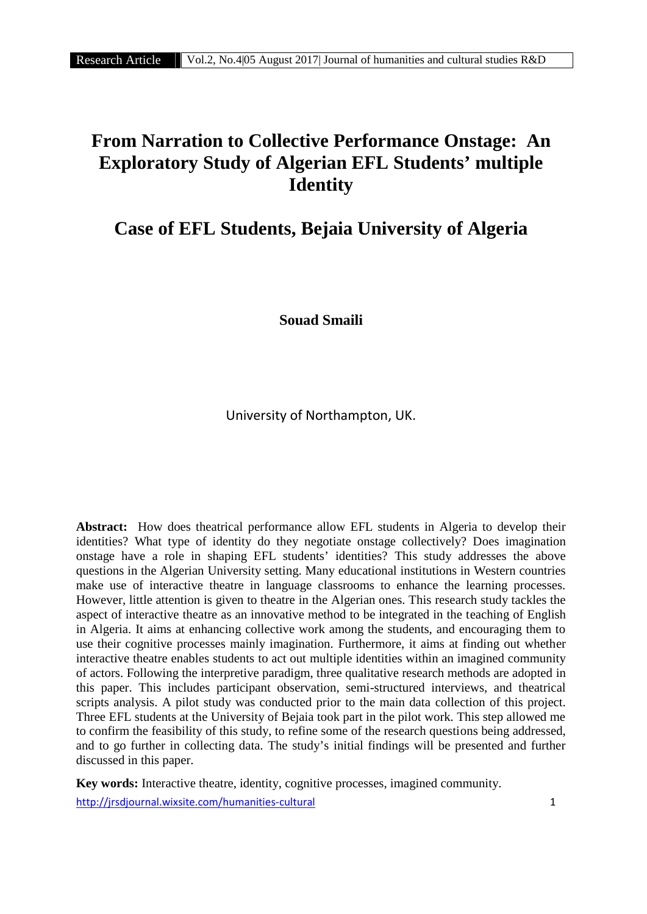# **From Narration to Collective Performance Onstage: An Exploratory Study of Algerian EFL Students' multiple Identity**

# **Case of EFL Students, Bejaia University of Algeria**

**Souad Smaili**

University of Northampton, UK.

**Abstract:** How does theatrical performance allow EFL students in Algeria to develop their identities? What type of identity do they negotiate onstage collectively? Does imagination onstage have a role in shaping EFL students' identities? This study addresses the above questions in the Algerian University setting. Many educational institutions in Western countries make use of interactive theatre in language classrooms to enhance the learning processes. However, little attention is given to theatre in the Algerian ones. This research study tackles the aspect of interactive theatre as an innovative method to be integrated in the teaching of English in Algeria. It aims at enhancing collective work among the students, and encouraging them to use their cognitive processes mainly imagination. Furthermore, it aims at finding out whether interactive theatre enables students to act out multiple identities within an imagined community of actors. Following the interpretive paradigm, three qualitative research methods are adopted in this paper. This includes participant observation, semi-structured interviews, and theatrical scripts analysis. A pilot study was conducted prior to the main data collection of this project. Three EFL students at the University of Bejaia took part in the pilot work. This step allowed me to confirm the feasibility of this study, to refine some of the research questions being addressed, and to go further in collecting data. The study's initial findings will be presented and further discussed in this paper.

http://jrsdjournal.wixsite.com/humanities-cultural 1 **Key words:** Interactive theatre, identity, cognitive processes, imagined community.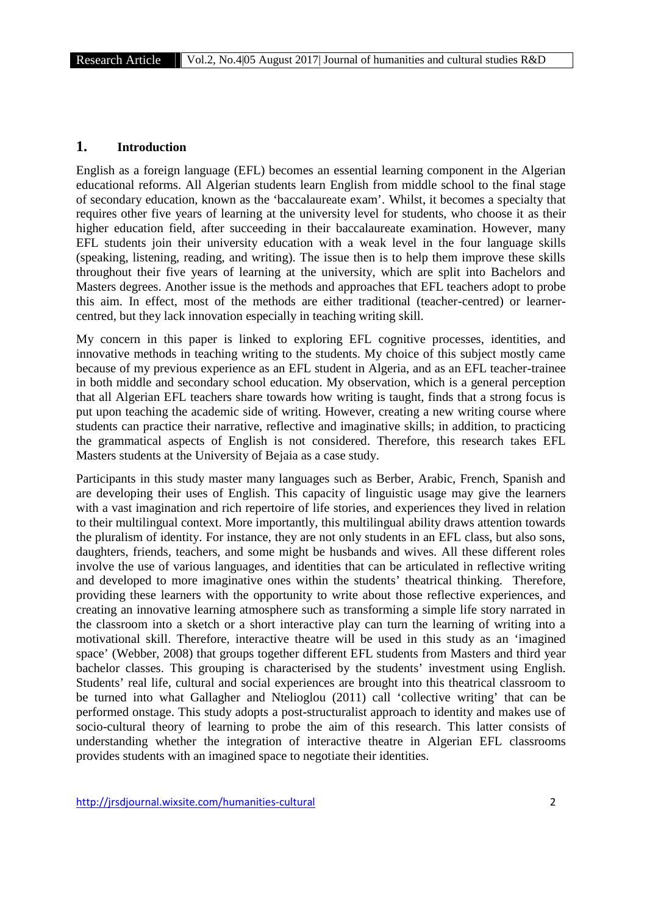# **1. Introduction**

English as a foreign language (EFL) becomes an essential learning component in the Algerian educational reforms. All Algerian students learn English from middle school to the final stage of secondary education, known as the 'baccalaureate exam'. Whilst, it becomes a specialty that requires other five years of learning at the university level for students, who choose it as their higher education field, after succeeding in their baccalaureate examination. However, many EFL students join their university education with a weak level in the four language skills (speaking, listening, reading, and writing). The issue then is to help them improve these skills throughout their five years of learning at the university, which are split into Bachelors and Masters degrees. Another issue is the methods and approaches that EFL teachers adopt to probe this aim. In effect, most of the methods are either traditional (teacher-centred) or learner centred, but they lack innovation especially in teaching writing skill.

My concern in this paper is linked to exploring EFL cognitive processes, identities, and innovative methods in teaching writing to the students. My choice of this subject mostly came because of my previous experience as an EFL student in Algeria, and as an EFL teacher-trainee in both middle and secondary school education. My observation, which is a general perception that all Algerian EFL teachers share towards how writing is taught, finds that a strong focus is put upon teaching the academic side of writing. However, creating a new writing course where students can practice their narrative, reflective and imaginative skills; in addition, to practicing the grammatical aspects of English is not considered. Therefore, this research takes EFL Masters students at the University of Bejaia as a case study.

Participants in this study master many languages such as Berber, Arabic, French, Spanish and are developing their uses of English. This capacity of linguistic usage may give the learners with a vast imagination and rich repertoire of life stories, and experiences they lived in relation to their multilingual context. More importantly, this multilingual ability draws attention towards the pluralism of identity. For instance, they are not only students in an EFL class, but also sons, daughters, friends, teachers, and some might be husbands and wives. All these different roles involve the use of various languages, and identities that can be articulated in reflective writing and developed to more imaginative ones within the students' theatrical thinking. Therefore, providing these learners with the opportunity to write about those reflective experiences, and creating an innovative learning atmosphere such as transforming a simple life story narrated in the classroom into a sketch or a short interactive play can turn the learning of writing into a motivational skill. Therefore, interactive theatre will be used in this study as an 'imagined space' (Webber, 2008) that groups together different EFL students from Masters and third year bachelor classes. This grouping is characterised by the students' investment using English. Students' real life, cultural and social experiences are brought into this theatrical classroom to be turned into what Gallagher and Ntelioglou (2011) call 'collective writing' that can be performed onstage. This study adopts a post-structuralist approach to identity and makes use of socio-cultural theory of learning to probe the aim of this research. This latter consists of understanding whether the integration of interactive theatre in Algerian EFL classrooms provides students with an imagined space to negotiate their identities.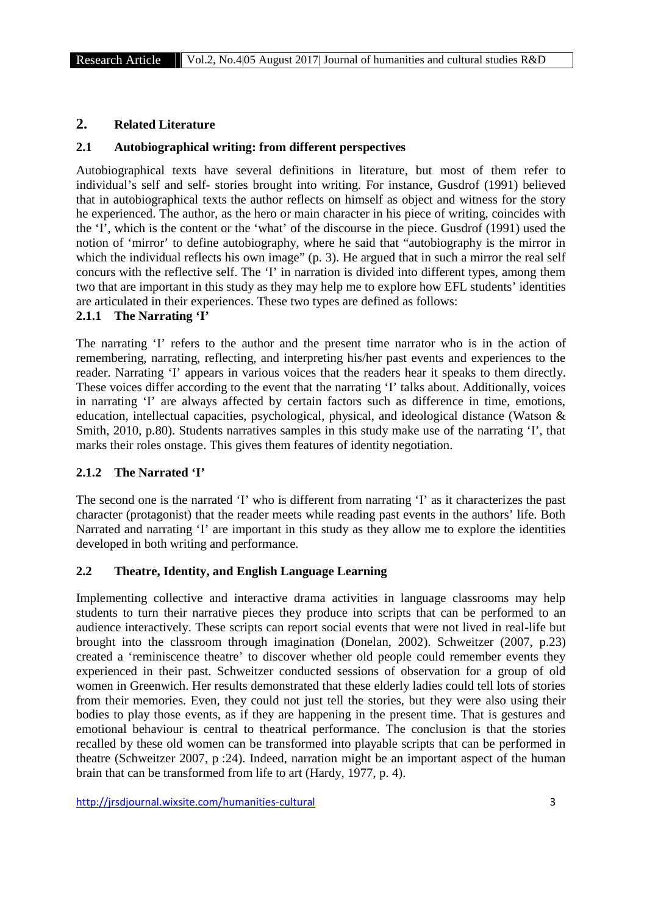## **2. Related Literature**

#### **2.1 Autobiographical writing: from different perspectives**

Autobiographical texts have several definitions in literature, but most of them refer to individual's self and self- stories brought into writing. For instance, Gusdrof (1991) believed that in autobiographical texts the author reflects on himself as object and witness for the story he experienced. The author, as the hero or main character in his piece of writing, coincides with the 'I', which is the content or the 'what' of the discourse in the piece. Gusdrof (1991) used the notion of 'mirror' to define autobiography, where he said that "autobiography is the mirror in which the individual reflects his own image" (p. 3). He argued that in such a mirror the real self concurs with the reflective self. The 'I' in narration is divided into different types, among them two that are important in this study as they may help me to explore how EFL students' identities are articulated in their experiences. These two types are defined as follows:

#### **2.1.1 The Narrating 'I'**

The narrating 'I' refers to the author and the present time narrator who is in the action of remembering, narrating, reflecting, and interpreting his/her past events and experiences to the reader. Narrating 'I' appears in various voices that the readers hear it speaks to them directly. These voices differ according to the event that the narrating 'I' talks about. Additionally, voices in narrating 'I' are always affected by certain factors such as difference in time, emotions, education, intellectual capacities, psychological, physical, and ideological distance (Watson & Smith, 2010, p.80). Students narratives samples in this study make use of the narrating 'I', that marks their roles onstage. This gives them features of identity negotiation.

#### **2.1.2 The Narrated 'I'**

The second one is the narrated 'I' who is different from narrating 'I' as it characterizes the past character (protagonist) that the reader meets while reading past events in the authors' life. Both Narrated and narrating 'I' are important in this study as they allow me to explore the identities developed in both writing and performance.

## **2.2 Theatre, Identity, and English Language Learning**

Implementing collective and interactive drama activities in language classrooms may help students to turn their narrative pieces they produce into scripts that can be performed to an audience interactively. These scripts can report social events that were not lived in real-life but brought into the classroom through imagination (Donelan, 2002). Schweitzer (2007, p.23) created a 'reminiscence theatre' to discover whether old people could remember events they experienced in their past. Schweitzer conducted sessions of observation for a group of old women in Greenwich. Her results demonstrated that these elderly ladies could tell lots of stories from their memories. Even, they could not just tell the stories, but they were also using their bodies to play those events, as if they are happening in the present time. That is gestures and emotional behaviour is central to theatrical performance. The conclusion is that the stories recalled by these old women can be transformed into playable scripts that can be performed in theatre (Schweitzer 2007, p :24). Indeed, narration might be an important aspect of the human brain that can be transformed from life to art (Hardy, 1977, p. 4).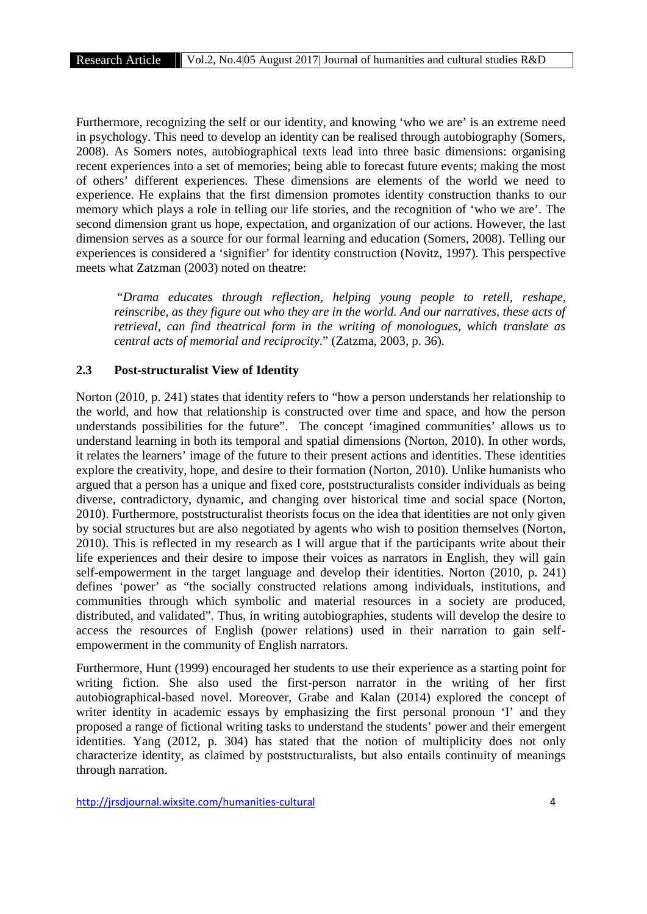Furthermore, recognizing the self or our identity, and knowing 'who we are' is an extreme need in psychology. This need to develop an identity can be realised through autobiography (Somers, 2008). As Somers notes, autobiographical texts lead into three basic dimensions: organising recent experiences into a set of memories; being able to forecast future events; making the most of others' different experiences. These dimensions are elements of the world we need to experience. He explains that the first dimension promotes identity construction thanks to our memory which plays a role in telling our life stories, and the recognition of 'who we are'. The second dimension grant us hope, expectation, and organization of our actions. However, the last dimension serves as a source for our formal learning and education (Somers, 2008). Telling our experiences is considered a 'signifier' for identity construction (Novitz, 1997). This perspective meets what Zatzman (2003) noted on theatre:

"*Drama educates through reflection, helping young people to retell, reshape, reinscribe, as they figure out who they are in the world. And our narratives, these acts of retrieval, can find theatrical form in the writing of monologues, which translate as central acts of memorial and reciprocity*." (Zatzma, 2003, p. 36).

#### **2.3 Post-structuralist View of Identity**

Norton (2010, p. 241) states that identity refers to "how a person understands her relationship to the world, and how that relationship is constructed over time and space, and how the person understands possibilities for the future". The concept 'imagined communities' allows us to understand learning in both its temporal and spatial dimensions (Norton, 2010). In other words, it relates the learners' image of the future to their present actions and identities. These identities explore the creativity, hope, and desire to their formation (Norton, 2010). Unlike humanists who argued that a person has a unique and fixed core, poststructuralists consider individuals as being diverse, contradictory, dynamic, and changing over historical time and social space (Norton, 2010). Furthermore, poststructuralist theorists focus on the idea that identities are not only given by social structures but are also negotiated by agents who wish to position themselves (Norton, 2010). This is reflected in my research as I will argue that if the participants write about their life experiences and their desire to impose their voices as narrators in English, they will gain self-empowerment in the target language and develop their identities. Norton (2010, p. 241) defines 'power' as "the socially constructed relations among individuals, institutions, and communities through which symbolic and material resources in a society are produced, distributed, and validated". Thus, in writing autobiographies, students will develop the desire to access the resources of English (power relations) used in their narration to gain self empowerment in the community of English narrators.

Furthermore, Hunt (1999) encouraged her students to use their experience as a starting point for writing fiction. She also used the first-person narrator in the writing of her first autobiographical-based novel. Moreover, Grabe and Kalan (2014) explored the concept of writer identity in academic essays by emphasizing the first personal pronoun 'I' and they proposed a range of fictional writing tasks to understand the students' power and their emergent identities. Yang (2012, p. 304) has stated that the notion of multiplicity does not only characterize identity, as claimed by poststructuralists, but also entails continuity of meanings through narration.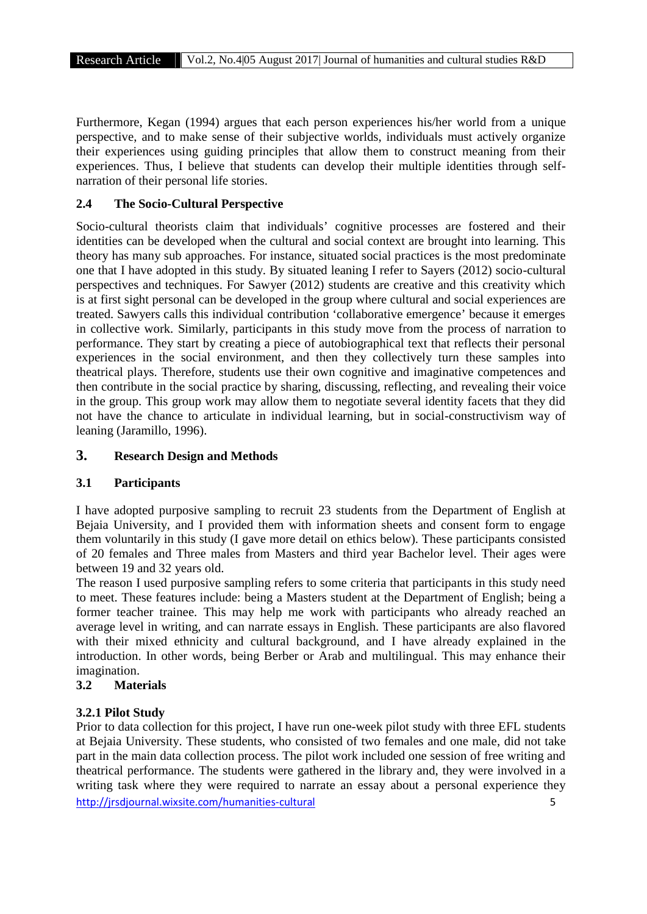Furthermore, Kegan (1994) argues that each person experiences his/her world from a unique perspective, and to make sense of their subjective worlds, individuals must actively organize their experiences using guiding principles that allow them to construct meaning from their experiences. Thus, I believe that students can develop their multiple identities through self narration of their personal life stories.

# **2.4 The Socio-Cultural Perspective**

Socio-cultural theorists claim that individuals' cognitive processes are fostered and their identities can be developed when the cultural and social context are brought into learning. This theory has many sub approaches. For instance, situated social practices is the most predominate one that I have adopted in this study. By situated leaning I refer to Sayers (2012) socio-cultural perspectives and techniques. For Sawyer (2012) students are creative and this creativity which is at first sight personal can be developed in the group where cultural and social experiences are treated. Sawyers calls this individual contribution 'collaborative emergence' because it emerges in collective work. Similarly, participants in this study move from the process of narration to performance. They start by creating a piece of autobiographical text that reflects their personal experiences in the social environment, and then they collectively turn these samples into theatrical plays. Therefore, students use their own cognitive and imaginative competences and then contribute in the social practice by sharing, discussing, reflecting, and revealing their voice in the group. This group work may allow them to negotiate several identity facets that they did not have the chance to articulate in individual learning, but in social-constructivism way of leaning (Jaramillo, 1996).

## **3. Research Design and Methods**

#### **3.1 Participants**

I have adopted purposive sampling to recruit 23 students from the Department of English at Bejaia University, and I provided them with information sheets and consent form to engage them voluntarily in this study (I gave more detail on ethics below). These participants consisted of 20 females and Three males from Masters and third year Bachelor level. Their ages were between 19 and 32 years old.

The reason I used purposive sampling refers to some criteria that participants in this study need to meet. These features include: being a Masters student at the Department of English; being a former teacher trainee. This may help me work with participants who already reached an average level in writing, and can narrate essays in English. These participants are also flavored with their mixed ethnicity and cultural background, and I have already explained in the introduction. In other words, being Berber or Arab and multilingual. This may enhance their imagination.

#### **3.2 Materials**

# **3.2.1 Pilot Study**

http://jrsdjournal.wixsite.com/humanities-cultural 5 Prior to data collection for this project, I have run one-week pilot study with three EFL students at Bejaia University. These students, who consisted of two females and one male, did not take part in the main data collection process. The pilot work included one session of free writing and theatrical performance. The students were gathered in the library and, they were involved in a writing task where they were required to narrate an essay about a personal experience they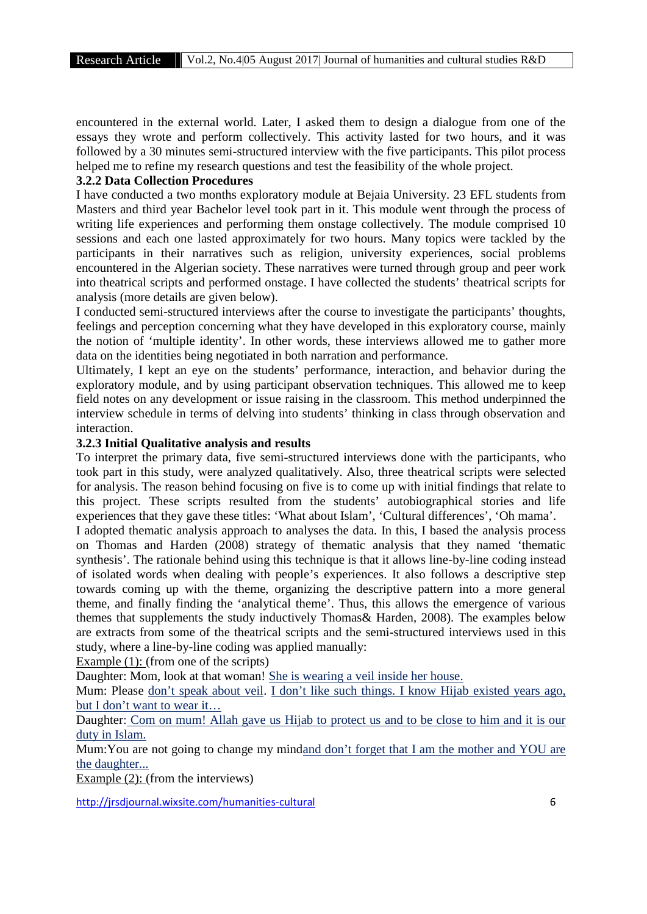encountered in the external world. Later, I asked them to design a dialogue from one of the essays they wrote and perform collectively. This activity lasted for two hours, and it was followed by a 30 minutes semi-structured interview with the five participants. This pilot process helped me to refine my research questions and test the feasibility of the whole project.

#### **3.2.2 Data Collection Procedures**

I have conducted a two months exploratory module at Bejaia University. 23 EFL students from Masters and third year Bachelor level took part in it. This module went through the process of writing life experiences and performing them onstage collectively. The module comprised 10 sessions and each one lasted approximately for two hours. Many topics were tackled by the participants in their narratives such as religion, university experiences, social problems encountered in the Algerian society. These narratives were turned through group and peer work into theatrical scripts and performed onstage. I have collected the students' theatrical scripts for analysis (more details are given below).

I conducted semi-structured interviews after the course to investigate the participants' thoughts, feelings and perception concerning what they have developed in this exploratory course, mainly the notion of 'multiple identity'. In other words, these interviews allowed me to gather more data on the identities being negotiated in both narration and performance.

Ultimately, I kept an eye on the students' performance, interaction, and behavior during the exploratory module, and by using participant observation techniques. This allowed me to keep field notes on any development or issue raising in the classroom. This method underpinned the interview schedule in terms of delving into students' thinking in class through observation and interaction.

#### **3.2.3 Initial Qualitative analysis and results**

To interpret the primary data, five semi-structured interviews done with the participants, who took part in this study, were analyzed qualitatively. Also, three theatrical scripts were selected for analysis. The reason behind focusing on five is to come up with initial findings that relate to this project. These scripts resulted from the students' autobiographical stories and life experiences that they gave these titles: 'What about Islam', 'Cultural differences', 'Oh mama'.

I adopted thematic analysis approach to analyses the data. In this, I based the analysis process on Thomas and Harden (2008) strategy of thematic analysis that they named 'thematic synthesis'. The rationale behind using this technique is that it allows line-by-line coding instead of isolated words when dealing with people's experiences. It also follows a descriptive step towards coming up with the theme, organizing the descriptive pattern into a more general theme, and finally finding the 'analytical theme'. Thus, this allows the emergence of various themes that supplements the study inductively Thomas& Harden, 2008). The examples below are extracts from some of the theatrical scripts and the semi-structured interviews used in this study, where a line-by-line coding was applied manually:

Example (1): (from one of the scripts)

Daughter: Mom, look at that woman! She is wearing a veil inside her house.

Mum: Please don't speak about veil. I don't like such things. I know Hijab existed years ago, but I don't want to wear it…

Daughter: Com on mum! Allah gave us Hijab to protect us and to be close to him and it is our duty in Islam.

Mum:You are not going to change my mindand don't forget that I am the mother and YOU are the daughter...

Example (2): (from the interviews)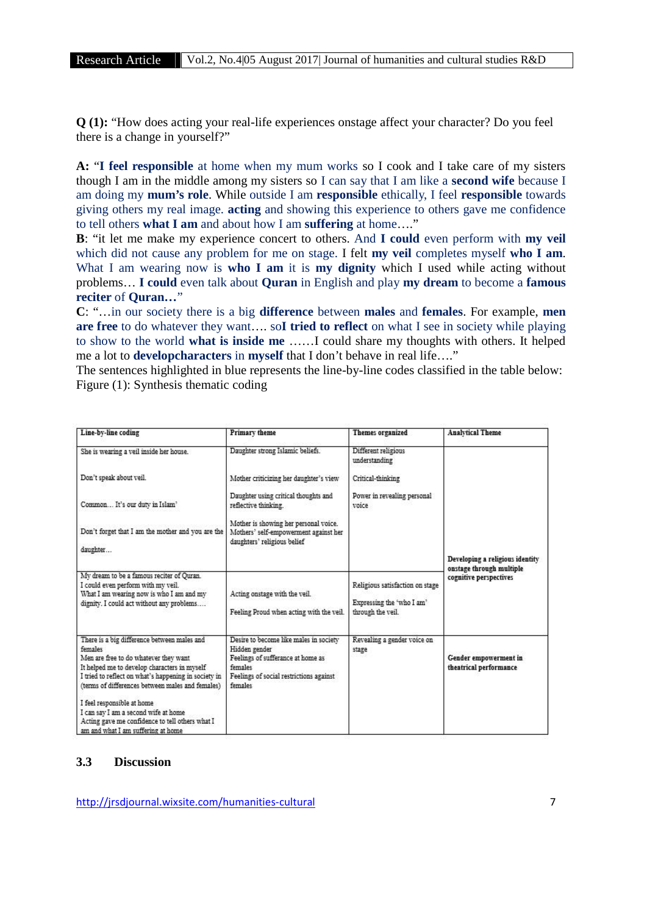**Q (1):** "How does acting your real-life experiences onstage affect your character? Do you feel there is a change in yourself?"

**A:** "**I feel responsible** at home when my mum works so I cook and I take care of my sisters though I am in the middle among my sisters so I can say that I am like a **second wife** because I am doing my **mum's role**. While outside I am **responsible** ethically, I feel **responsible** towards giving others my real image. **acting** and showing this experience to others gave me confidence to tell others **what I am** and about how I am **suffering** at home…."

**B**: "it let me make my experience concert to others. And **I could** even perform with **my veil** which did not cause any problem for me on stage. I felt **my veil** completes myself **who I am**. What I am wearing now is **who I am** it is **my dignity** which I used while acting without problems… **I could** even talk about **Quran** in English and play **my dream** to become a **famous reciter** of **Quran…**"

**C**: "…in our society there is a big **difference** between **males** and **females**. For example, **men are free** to do whatever they want…. so**I tried to reflect** on what I see in society while playing to show to the world **what is inside me** ……I could share my thoughts with others. It helped me a lot to **developcharacters** in **myself** that I don't behave in real life…."

The sentences highlighted in blue represents the line-by-line codes classified in the table below: Figure (1): Synthesis thematic coding

| Line-by-line coding                                                                                                                                                                                                                                                                                                                                                                                                        | <b>Primary</b> theme                                                                                                                                          | Themes organized                                                                  | <b>Analytical Theme</b>                                                               |
|----------------------------------------------------------------------------------------------------------------------------------------------------------------------------------------------------------------------------------------------------------------------------------------------------------------------------------------------------------------------------------------------------------------------------|---------------------------------------------------------------------------------------------------------------------------------------------------------------|-----------------------------------------------------------------------------------|---------------------------------------------------------------------------------------|
| She is wearing a veil inside her house.                                                                                                                                                                                                                                                                                                                                                                                    | Daughter strong Islamic beliefs.                                                                                                                              | Different religious<br>understanding                                              |                                                                                       |
| Don't speak about veil.                                                                                                                                                                                                                                                                                                                                                                                                    | Mother criticizing her daughter's view                                                                                                                        | Critical-thinking                                                                 |                                                                                       |
| Common It's our duty in Islam'                                                                                                                                                                                                                                                                                                                                                                                             | Daughter using critical thoughts and<br>reflective thinking.                                                                                                  | Power in revealing personal<br>voice                                              |                                                                                       |
| Don't forget that I am the mother and you are the<br>daughter                                                                                                                                                                                                                                                                                                                                                              | Mother is showing her personal voice.<br>Mothers' self-empowerment against her<br>daughters' religious belief                                                 |                                                                                   | Developing a religious identity<br>onstage through multiple<br>cognitive perspectives |
| My dream to be a famous reciter of Quran.<br>I could even perform with my yeil.<br>What I am wearing now is who I am and my<br>dignity. I could act without any problems                                                                                                                                                                                                                                                   | Acting onstage with the veil.<br>Feeling Proud when acting with the veil.                                                                                     | Religious satisfaction on stage<br>Expressing the 'who I am'<br>through the veil. |                                                                                       |
| There is a big difference between males and<br>females<br>Men are free to do whatever they want<br>It helped me to develop characters in myself<br>I tried to reflect on what's happening in society in<br>(terms of differences between males and females)<br>I feel responsible at home<br>I can say I am a second wife at home<br>Acting gave me confidence to tell others what I<br>am and what I am suffering at home | Desire to become like males in society<br>Hidden gender<br>Feelings of sufferance at home as<br>females<br>Feelings of social restrictions against<br>females | Revealing a gender voice on<br>stage                                              | Gender empowerment in<br>theatrical performance                                       |

#### **3.3 Discussion**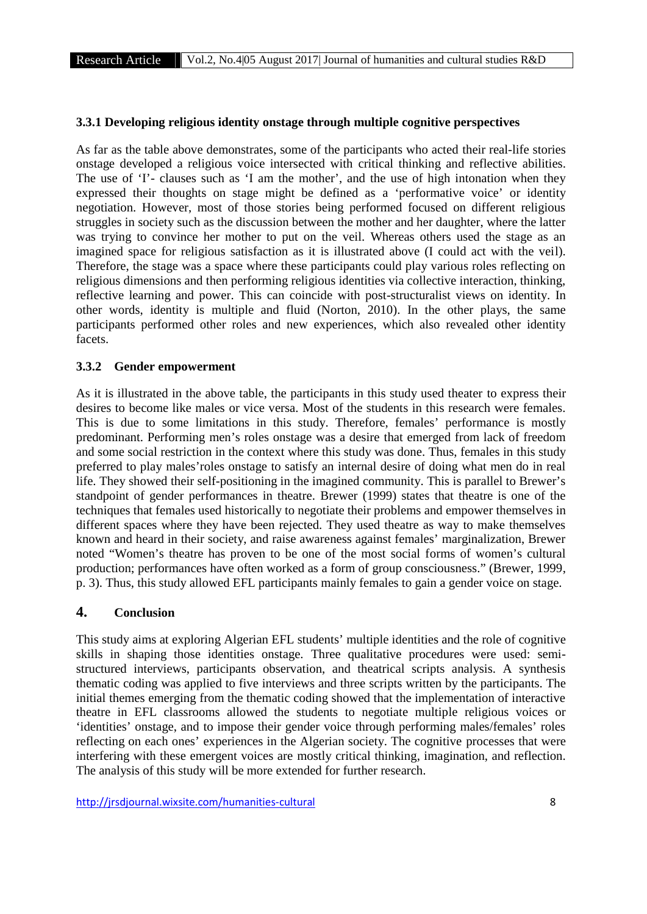#### **3.3.1 Developing religious identity onstage through multiple cognitive perspectives**

As far as the table above demonstrates, some of the participants who acted their real-life stories onstage developed a religious voice intersected with critical thinking and reflective abilities. The use of 'I'- clauses such as 'I am the mother', and the use of high intonation when they expressed their thoughts on stage might be defined as a 'performative voice' or identity negotiation. However, most of those stories being performed focused on different religious struggles in society such as the discussion between the mother and her daughter, where the latter was trying to convince her mother to put on the veil. Whereas others used the stage as an imagined space for religious satisfaction as it is illustrated above (I could act with the veil). Therefore, the stage was a space where these participants could play various roles reflecting on religious dimensions and then performing religious identities via collective interaction, thinking, reflective learning and power. This can coincide with post-structuralist views on identity. In other words, identity is multiple and fluid (Norton, 2010). In the other plays, the same participants performed other roles and new experiences, which also revealed other identity facets.

#### **3.3.2 Gender empowerment**

As it is illustrated in the above table, the participants in this study used theater to express their desires to become like males or vice versa. Most of the students in this research were females. This is due to some limitations in this study. Therefore, females' performance is mostly predominant. Performing men's roles onstage was a desire that emerged from lack of freedom and some social restriction in the context where this study was done. Thus, females in this study preferred to play males'roles onstage to satisfy an internal desire of doing what men do in real life. They showed their self-positioning in the imagined community. This is parallel to Brewer's standpoint of gender performances in theatre. Brewer (1999) states that theatre is one of the techniques that females used historically to negotiate their problems and empower themselves in different spaces where they have been rejected. They used theatre as way to make themselves known and heard in their society, and raise awareness against females' marginalization, Brewer noted "Women's theatre has proven to be one of the most social forms of women's cultural production; performances have often worked as a form of group consciousness." (Brewer, 1999, p. 3). Thus, this study allowed EFL participants mainly females to gain a gender voice on stage.

# **4. Conclusion**

This study aims at exploring Algerian EFL students' multiple identities and the role of cognitive skills in shaping those identities onstage. Three qualitative procedures were used: semi structured interviews, participants observation, and theatrical scripts analysis. A synthesis thematic coding was applied to five interviews and three scripts written by the participants. The initial themes emerging from the thematic coding showed that the implementation of interactive theatre in EFL classrooms allowed the students to negotiate multiple religious voices or 'identities' onstage, and to impose their gender voice through performing males/females' roles reflecting on each ones' experiences in the Algerian society. The cognitive processes that were interfering with these emergent voices are mostly critical thinking, imagination, and reflection. The analysis of this study will be more extended for further research.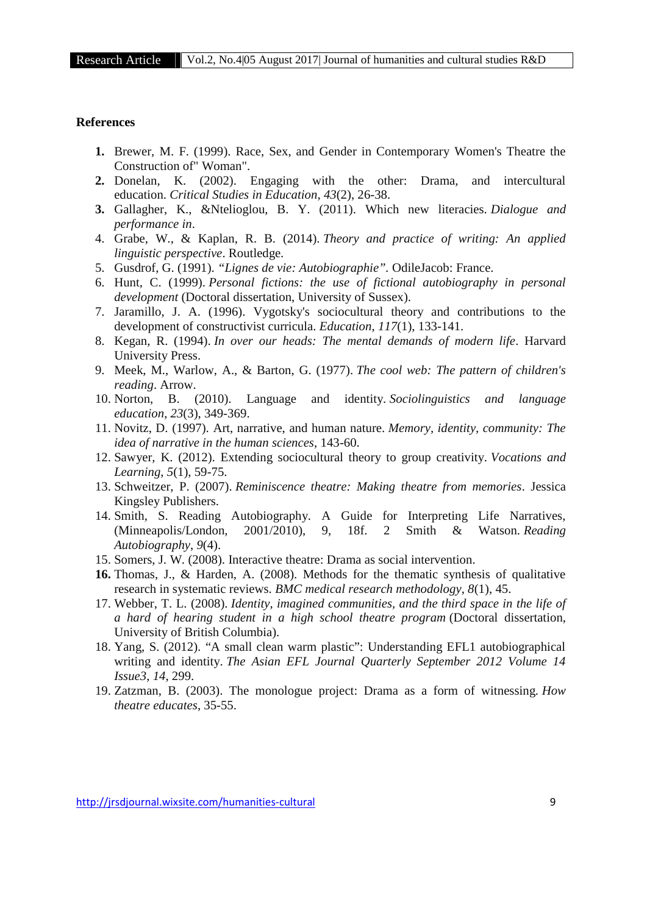#### **References**

- **1.** Brewer, M. F. (1999). Race, Sex, and Gender in Contemporary Women's Theatre the Construction of" Woman".
- **2.** Donelan, K. (2002). Engaging with the other: Drama, and intercultural education. *Critical Studies in Education*, *43*(2), 26-38.
- **3.** Gallagher, K., &Ntelioglou, B. Y. (2011). Which new literacies. *Dialogue and performance in*.
- 4. Grabe, W., & Kaplan, R. B. (2014). *Theory and practice of writing: An applied linguistic perspective*. Routledge.
- 5. Gusdrof, G. (1991). *"Lignes de vie: Autobiographie".* OdileJacob: France.
- 6. Hunt, C. (1999). *Personal fictions: the use of fictional autobiography in personal development* (Doctoral dissertation, University of Sussex).
- 7. Jaramillo, J. A. (1996). Vygotsky's sociocultural theory and contributions to the development of constructivist curricula. *Education*, *117*(1), 133-141.
- 8. Kegan, R. (1994). *In over our heads: The mental demands of modern life*. Harvard University Press.
- 9. Meek, M., Warlow, A., & Barton, G. (1977). *The cool web: The pattern of children's reading*. Arrow.
- 10. Norton, B. (2010). Language and identity. *Sociolinguistics and language education*, *23*(3), 349-369.
- 11. Novitz, D. (1997). Art, narrative, and human nature. *Memory, identity, community: The idea of narrative in the human sciences*, 143-60.
- 12. Sawyer, K. (2012). Extending sociocultural theory to group creativity. *Vocations and Learning*, *5*(1), 59-75.
- 13. Schweitzer, P. (2007). *Reminiscence theatre: Making theatre from memories*. Jessica Kingsley Publishers.
- 14. Smith, S. Reading Autobiography. A Guide for Interpreting Life Narratives, (Minneapolis/London, 2001/2010), 9, 18f. 2 Smith & Watson. *Reading Autobiography*, *9*(4).
- 15. Somers, J. W. (2008). Interactive theatre: Drama as social intervention.
- **16.** Thomas, J., & Harden, A. (2008). Methods for the thematic synthesis of qualitative research in systematic reviews. *BMC medical research methodology*, *8*(1), 45.
- 17. Webber, T. L. (2008). *Identity, imagined communities, and the third space in the life of a hard of hearing student in a high school theatre program* (Doctoral dissertation, University of British Columbia).
- 18. Yang, S. (2012). "A small clean warm plastic": Understanding EFL1 autobiographical writing and identity. *The Asian EFL Journal Quarterly September 2012 Volume 14 Issue3*, *14*, 299.
- 19. Zatzman, B. (2003). The monologue project: Drama as a form of witnessing. *How theatre educates*, 35-55.